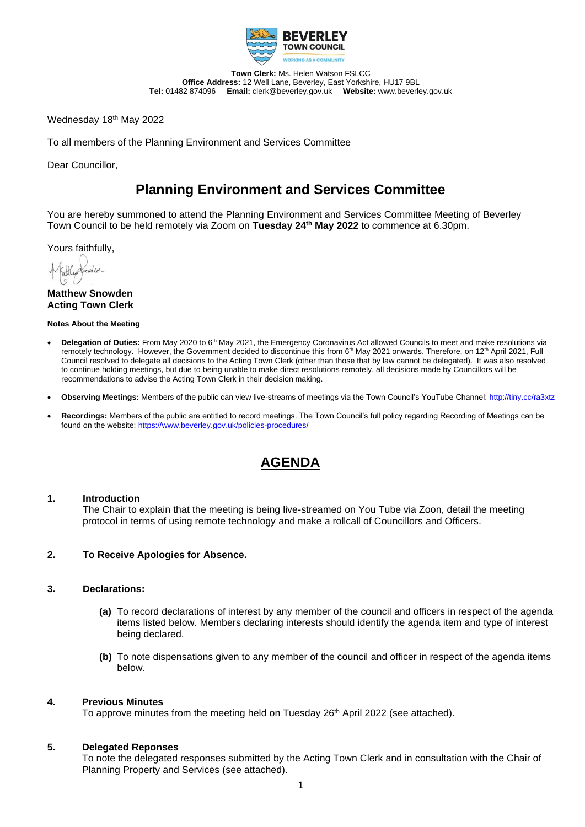

**Town Clerk:** Ms. Helen Watson FSLCC **Office Address:** 12 Well Lane, Beverley, East Yorkshire, HU17 9BL **Tel:** 01482 874096 **Email:** clerk@beverley.gov.uk **Website:** www.beverley.gov.uk

Wednesday 18th May 2022

To all members of the Planning Environment and Services Committee

Dear Councillor,

# **Planning Environment and Services Committee**

You are hereby summoned to attend the Planning Environment and Services Committee Meeting of Beverley Town Council to be held remotely via Zoom on **Tuesday 24th May 2022** to commence at 6.30pm.

Yours faithfully,

**Matthew Snowden Acting Town Clerk**

#### **Notes About the Meeting**

- **Delegation of Duties:** From May 2020 to 6th May 2021, the Emergency Coronavirus Act allowed Councils to meet and make resolutions via remotely technology. However, the Government decided to discontinue this from 6<sup>th</sup> May 2021 onwards. Therefore, on 12<sup>th</sup> April 2021, Full Council resolved to delegate all decisions to the Acting Town Clerk (other than those that by law cannot be delegated). It was also resolved to continue holding meetings, but due to being unable to make direct resolutions remotely, all decisions made by Councillors will be recommendations to advise the Acting Town Clerk in their decision making.
- **Observing Meetings:** Members of the public can view live-streams of meetings via the Town Council's YouTube Channel:<http://tiny.cc/ra3xtz>
- **Recordings:** Members of the public are entitled to record meetings. The Town Council's full policy regarding Recording of Meetings can be found on the website[: https://www.beverley.gov.uk/policies-procedures/](https://www.beverley.gov.uk/policies-procedures/)

# **AGENDA**

#### **1. Introduction**

The Chair to explain that the meeting is being live-streamed on You Tube via Zoon, detail the meeting protocol in terms of using remote technology and make a rollcall of Councillors and Officers.

#### **2. To Receive Apologies for Absence.**

#### **3. Declarations:**

- **(a)** To record declarations of interest by any member of the council and officers in respect of the agenda items listed below. Members declaring interests should identify the agenda item and type of interest being declared.
- **(b)** To note dispensations given to any member of the council and officer in respect of the agenda items below.

#### **4. Previous Minutes**

To approve minutes from the meeting held on Tuesday 26<sup>th</sup> April 2022 (see attached).

#### **5. Delegated Reponses**

To note the delegated responses submitted by the Acting Town Clerk and in consultation with the Chair of Planning Property and Services (see attached).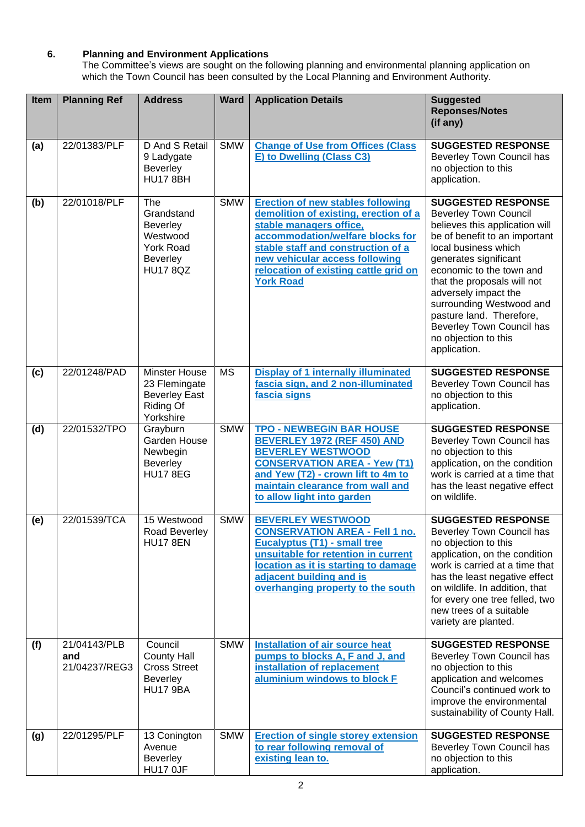## **6. Planning and Environment Applications**

The Committee's views are sought on the following planning and environmental planning application on which the Town Council has been consulted by the Local Planning and Environment Authority.

| Item | <b>Planning Ref</b>                  | <b>Address</b>                                                                                             | <b>Ward</b> | <b>Application Details</b>                                                                                                                                                                                                                                                            | <b>Suggested</b><br><b>Reponses/Notes</b><br>(if any)                                                                                                                                                                                                                                                                                                                                         |
|------|--------------------------------------|------------------------------------------------------------------------------------------------------------|-------------|---------------------------------------------------------------------------------------------------------------------------------------------------------------------------------------------------------------------------------------------------------------------------------------|-----------------------------------------------------------------------------------------------------------------------------------------------------------------------------------------------------------------------------------------------------------------------------------------------------------------------------------------------------------------------------------------------|
| (a)  | 22/01383/PLF                         | D And S Retail<br>9 Ladygate<br><b>Beverley</b><br><b>HU17 8BH</b>                                         | <b>SMW</b>  | <b>Change of Use from Offices (Class</b><br>E) to Dwelling (Class C3)                                                                                                                                                                                                                 | <b>SUGGESTED RESPONSE</b><br>Beverley Town Council has<br>no objection to this<br>application.                                                                                                                                                                                                                                                                                                |
| (b)  | 22/01018/PLF                         | The<br>Grandstand<br><b>Beverley</b><br>Westwood<br><b>York Road</b><br><b>Beverley</b><br><b>HU17 8QZ</b> | <b>SMW</b>  | <b>Erection of new stables following</b><br>demolition of existing, erection of a<br>stable managers office,<br>accommodation/welfare blocks for<br>stable staff and construction of a<br>new vehicular access following<br>relocation of existing cattle grid on<br><b>York Road</b> | <b>SUGGESTED RESPONSE</b><br><b>Beverley Town Council</b><br>believes this application will<br>be of benefit to an important<br>local business which<br>generates significant<br>economic to the town and<br>that the proposals will not<br>adversely impact the<br>surrounding Westwood and<br>pasture land. Therefore,<br>Beverley Town Council has<br>no objection to this<br>application. |
| (c)  | 22/01248/PAD                         | Minster House<br>23 Flemingate<br><b>Beverley East</b><br>Riding Of<br>Yorkshire                           | <b>MS</b>   | <b>Display of 1 internally illuminated</b><br>fascia sign, and 2 non-illuminated<br>fascia signs                                                                                                                                                                                      | <b>SUGGESTED RESPONSE</b><br>Beverley Town Council has<br>no objection to this<br>application.                                                                                                                                                                                                                                                                                                |
| (d)  | 22/01532/TPO                         | Grayburn<br>Garden House<br>Newbegin<br><b>Beverley</b><br><b>HU17 8EG</b>                                 | <b>SMW</b>  | <b>TPO - NEWBEGIN BAR HOUSE</b><br><b>BEVERLEY 1972 (REF 450) AND</b><br><b>BEVERLEY WESTWOOD</b><br><b>CONSERVATION AREA - Yew (T1)</b><br>and Yew (T2) - crown lift to 4m to<br>maintain clearance from wall and<br>to allow light into garden                                      | <b>SUGGESTED RESPONSE</b><br>Beverley Town Council has<br>no objection to this<br>application, on the condition<br>work is carried at a time that<br>has the least negative effect<br>on wildlife.                                                                                                                                                                                            |
| (e)  | 22/01539/TCA                         | 15 Westwood<br>Road Beverley<br><b>HU17 8EN</b>                                                            | <b>SMW</b>  | <b>BEVERLEY WESTWOOD</b><br><b>CONSERVATION AREA - Fell 1 no.</b><br><b>Eucalyptus (T1) - small tree</b><br>unsuitable for retention in current<br>location as it is starting to damage<br>adjacent building and is<br>overhanging property to the south                              | <b>SUGGESTED RESPONSE</b><br>Beverley Town Council has<br>no objection to this<br>application, on the condition<br>work is carried at a time that<br>has the least negative effect<br>on wildlife. In addition, that<br>for every one tree felled, two<br>new trees of a suitable<br>variety are planted.                                                                                     |
| (f)  | 21/04143/PLB<br>and<br>21/04237/REG3 | Council<br><b>County Hall</b><br><b>Cross Street</b><br><b>Beverley</b><br><b>HU17 9BA</b>                 | <b>SMW</b>  | <b>Installation of air source heat</b><br>pumps to blocks A, F and J, and<br>installation of replacement<br>aluminium windows to block F                                                                                                                                              | <b>SUGGESTED RESPONSE</b><br>Beverley Town Council has<br>no objection to this<br>application and welcomes<br>Council's continued work to<br>improve the environmental<br>sustainability of County Hall.                                                                                                                                                                                      |
| (g)  | 22/01295/PLF                         | 13 Conington<br>Avenue<br><b>Beverley</b><br>HU17 OJF                                                      | <b>SMW</b>  | <b>Erection of single storey extension</b><br>to rear following removal of<br>existing lean to.                                                                                                                                                                                       | <b>SUGGESTED RESPONSE</b><br>Beverley Town Council has<br>no objection to this<br>application.                                                                                                                                                                                                                                                                                                |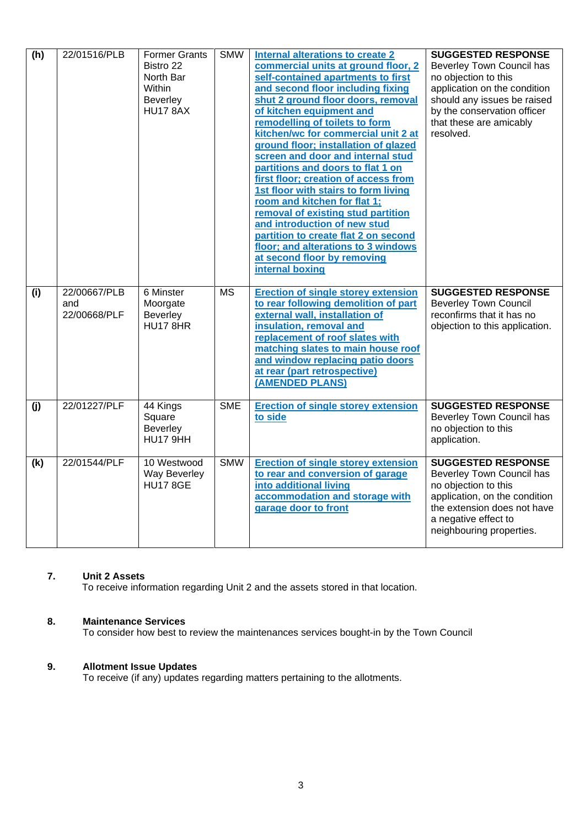| (h) | 22/01516/PLB                        | <b>Former Grants</b><br>Bistro 22<br>North Bar<br>Within<br>Beverley<br><b>HU17 8AX</b> | <b>SMW</b>             | <b>Internal alterations to create 2</b><br>commercial units at ground floor, 2<br>self-contained apartments to first<br>and second floor including fixing<br>shut 2 ground floor doors, removal<br>of kitchen equipment and<br>remodelling of toilets to form<br>kitchen/wc for commercial unit 2 at<br>ground floor; installation of glazed<br>screen and door and internal stud<br>partitions and doors to flat 1 on<br>first floor; creation of access from<br>1st floor with stairs to form living<br>room and kitchen for flat 1;<br>removal of existing stud partition<br>and introduction of new stud<br>partition to create flat 2 on second<br>floor; and alterations to 3 windows<br>at second floor by removing<br>internal boxing | <b>SUGGESTED RESPONSE</b><br>Beverley Town Council has<br>no objection to this<br>application on the condition<br>should any issues be raised<br>by the conservation officer<br>that these are amicably<br>resolved. |
|-----|-------------------------------------|-----------------------------------------------------------------------------------------|------------------------|-----------------------------------------------------------------------------------------------------------------------------------------------------------------------------------------------------------------------------------------------------------------------------------------------------------------------------------------------------------------------------------------------------------------------------------------------------------------------------------------------------------------------------------------------------------------------------------------------------------------------------------------------------------------------------------------------------------------------------------------------|----------------------------------------------------------------------------------------------------------------------------------------------------------------------------------------------------------------------|
| (i) | 22/00667/PLB<br>and<br>22/00668/PLF | 6 Minster<br>Moorgate<br>Beverley<br><b>HU17 8HR</b>                                    | $\overline{\text{MS}}$ | <b>Erection of single storey extension</b><br>to rear following demolition of part<br>external wall, installation of<br>insulation, removal and<br>replacement of roof slates with<br>matching slates to main house roof<br>and window replacing patio doors<br>at rear (part retrospective)<br>(AMENDED PLANS)                                                                                                                                                                                                                                                                                                                                                                                                                               | <b>SUGGESTED RESPONSE</b><br><b>Beverley Town Council</b><br>reconfirms that it has no<br>objection to this application.                                                                                             |
| (j) | 22/01227/PLF                        | 44 Kings<br>Square<br>Beverley<br>HU17 9HH                                              | <b>SME</b>             | <b>Erection of single storey extension</b><br>to side                                                                                                                                                                                                                                                                                                                                                                                                                                                                                                                                                                                                                                                                                         | <b>SUGGESTED RESPONSE</b><br>Beverley Town Council has<br>no objection to this<br>application.                                                                                                                       |
| (k) | 22/01544/PLF                        | 10 Westwood<br><b>Way Beverley</b><br><b>HU17 8GE</b>                                   | <b>SMW</b>             | <b>Erection of single storey extension</b><br>to rear and conversion of garage<br>into additional living<br>accommodation and storage with<br>garage door to front                                                                                                                                                                                                                                                                                                                                                                                                                                                                                                                                                                            | <b>SUGGESTED RESPONSE</b><br>Beverley Town Council has<br>no objection to this<br>application, on the condition<br>the extension does not have<br>a negative effect to<br>neighbouring properties.                   |

### **7. Unit 2 Assets**

To receive information regarding Unit 2 and the assets stored in that location.

## **8. Maintenance Services**

To consider how best to review the maintenances services bought-in by the Town Council

#### **9. Allotment Issue Updates**

To receive (if any) updates regarding matters pertaining to the allotments.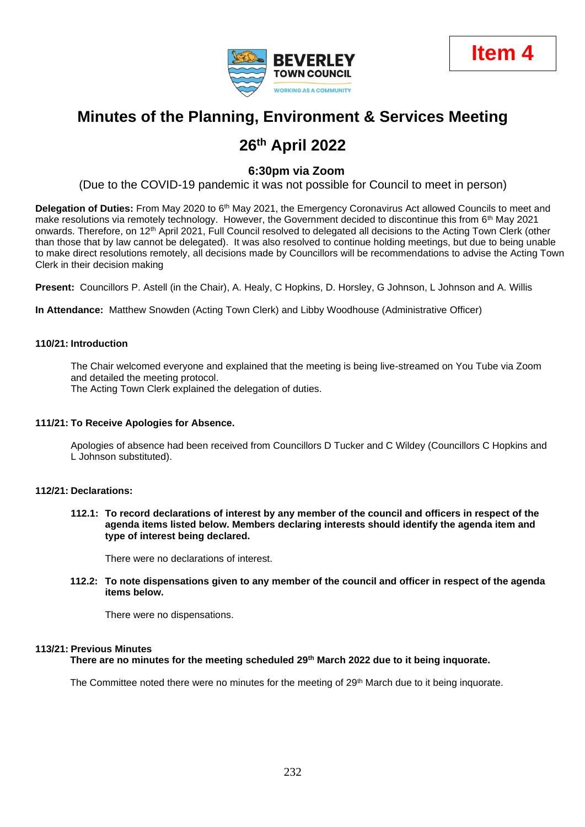



# **Minutes of the Planning, Environment & Services Meeting**

# **26th April 2022**

## **6:30pm via Zoom**

(Due to the COVID-19 pandemic it was not possible for Council to meet in person)

**Delegation of Duties:** From May 2020 to 6<sup>th</sup> May 2021, the Emergency Coronavirus Act allowed Councils to meet and make resolutions via remotely technology. However, the Government decided to discontinue this from 6<sup>th</sup> May 2021 onwards. Therefore, on 12<sup>th</sup> April 2021, Full Council resolved to delegated all decisions to the Acting Town Clerk (other than those that by law cannot be delegated). It was also resolved to continue holding meetings, but due to being unable to make direct resolutions remotely, all decisions made by Councillors will be recommendations to advise the Acting Town Clerk in their decision making

**Present:** Councillors P. Astell (in the Chair), A. Healy, C Hopkins, D. Horsley, G Johnson, L Johnson and A. Willis

**In Attendance:** Matthew Snowden (Acting Town Clerk) and Libby Woodhouse (Administrative Officer)

#### **110/21: Introduction**

The Chair welcomed everyone and explained that the meeting is being live-streamed on You Tube via Zoom and detailed the meeting protocol.

The Acting Town Clerk explained the delegation of duties.

#### **111/21: To Receive Apologies for Absence.**

Apologies of absence had been received from Councillors D Tucker and C Wildey (Councillors C Hopkins and L Johnson substituted).

#### **112/21: Declarations:**

**112.1: To record declarations of interest by any member of the council and officers in respect of the agenda items listed below. Members declaring interests should identify the agenda item and type of interest being declared.**

There were no declarations of interest.

**112.2: To note dispensations given to any member of the council and officer in respect of the agenda items below.**

There were no dispensations.

#### **113/21: Previous Minutes**

**There are no minutes for the meeting scheduled 29th March 2022 due to it being inquorate.**

The Committee noted there were no minutes for the meeting of  $29<sup>th</sup>$  March due to it being inquorate.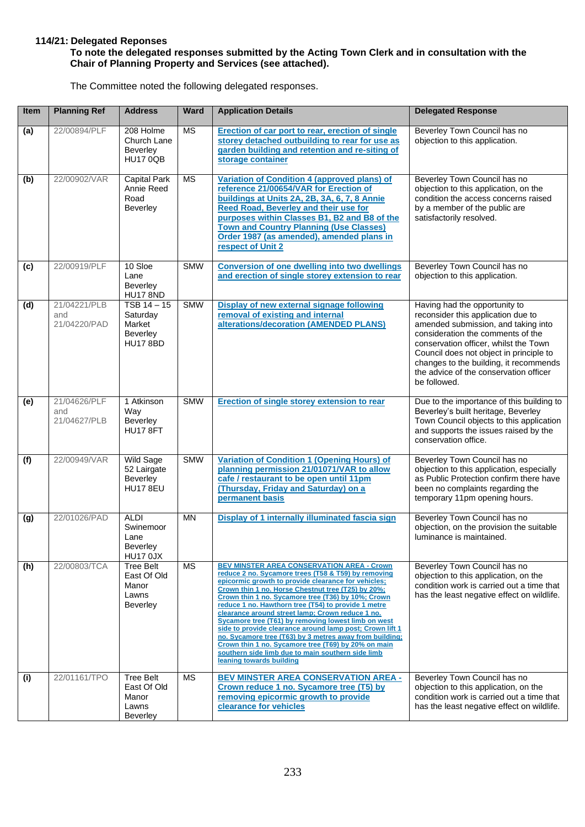#### **114/21: Delegated Reponses**

#### **To note the delegated responses submitted by the Acting Town Clerk and in consultation with the Chair of Planning Property and Services (see attached).**

The Committee noted the following delegated responses.

| Item | <b>Planning Ref</b>                 | <b>Address</b>                                                       | <b>Ward</b> | <b>Application Details</b>                                                                                                                                                                                                                                                                                                                                                                                                                                                                                                                                                                                                                                                                                   | <b>Delegated Response</b>                                                                                                                                                                                                                                                                                                               |
|------|-------------------------------------|----------------------------------------------------------------------|-------------|--------------------------------------------------------------------------------------------------------------------------------------------------------------------------------------------------------------------------------------------------------------------------------------------------------------------------------------------------------------------------------------------------------------------------------------------------------------------------------------------------------------------------------------------------------------------------------------------------------------------------------------------------------------------------------------------------------------|-----------------------------------------------------------------------------------------------------------------------------------------------------------------------------------------------------------------------------------------------------------------------------------------------------------------------------------------|
| (a)  | 22/00894/PLF                        | 208 Holme<br>Church Lane<br>Beverley<br><b>HU17 0QB</b>              | <b>MS</b>   | Erection of car port to rear, erection of single<br>storey detached outbuilding to rear for use as<br>garden building and retention and re-siting of<br>storage container                                                                                                                                                                                                                                                                                                                                                                                                                                                                                                                                    | Beverley Town Council has no<br>objection to this application.                                                                                                                                                                                                                                                                          |
| (b)  | 22/00902/VAR                        | <b>Capital Park</b><br>Annie Reed<br>Road<br>Beverley                | <b>MS</b>   | Variation of Condition 4 (approved plans) of<br>reference 21/00654/VAR for Erection of<br>buildings at Units 2A, 2B, 3A, 6, 7, 8 Annie<br><b>Reed Road, Beverley and their use for</b><br>purposes within Classes B1, B2 and B8 of the<br><b>Town and Country Planning (Use Classes)</b><br>Order 1987 (as amended), amended plans in<br>respect of Unit 2                                                                                                                                                                                                                                                                                                                                                   | Beverley Town Council has no<br>objection to this application, on the<br>condition the access concerns raised<br>by a member of the public are<br>satisfactorily resolved.                                                                                                                                                              |
| (c)  | 22/00919/PLF                        | 10 Sloe<br>Lane<br>Beverley<br><b>HU17 8ND</b>                       | <b>SMW</b>  | <b>Conversion of one dwelling into two dwellings</b><br>and erection of single storey extension to rear                                                                                                                                                                                                                                                                                                                                                                                                                                                                                                                                                                                                      | Beverley Town Council has no<br>objection to this application.                                                                                                                                                                                                                                                                          |
| (d)  | 21/04221/PLB<br>and<br>21/04220/PAD | $TSB$ 14 $-$ 15<br>Saturday<br>Market<br>Beverley<br><b>HU17 8BD</b> | <b>SMW</b>  | Display of new external signage following<br>removal of existing and internal<br>alterations/decoration (AMENDED PLANS)                                                                                                                                                                                                                                                                                                                                                                                                                                                                                                                                                                                      | Having had the opportunity to<br>reconsider this application due to<br>amended submission, and taking into<br>consideration the comments of the<br>conservation officer, whilst the Town<br>Council does not object in principle to<br>changes to the building, it recommends<br>the advice of the conservation officer<br>be followed. |
| (e)  | 21/04626/PLF<br>and<br>21/04627/PLB | 1 Atkinson<br>Way<br>Beverley<br><b>HU17 8FT</b>                     | <b>SMW</b>  | <b>Erection of single storey extension to rear</b>                                                                                                                                                                                                                                                                                                                                                                                                                                                                                                                                                                                                                                                           | Due to the importance of this building to<br>Beverley's built heritage, Beverley<br>Town Council objects to this application<br>and supports the issues raised by the<br>conservation office.                                                                                                                                           |
| (f)  | 22/00949/VAR                        | Wild Sage<br>52 Lairgate<br>Beverley<br><b>HU17 8EU</b>              | <b>SMW</b>  | Variation of Condition 1 (Opening Hours) of<br>planning permission 21/01071/VAR to allow<br>cafe / restaurant to be open until 11pm<br>(Thursday, Friday and Saturday) on a<br>permanent basis                                                                                                                                                                                                                                                                                                                                                                                                                                                                                                               | Beverley Town Council has no<br>objection to this application, especially<br>as Public Protection confirm there have<br>been no complaints regarding the<br>temporary 11pm opening hours.                                                                                                                                               |
| (g)  | 22/01026/PAD                        | <b>ALDI</b><br>Swinemoor<br>Lane<br>Beverley<br>HU17 0JX             | <b>MN</b>   | Display of 1 internally illuminated fascia sign                                                                                                                                                                                                                                                                                                                                                                                                                                                                                                                                                                                                                                                              | Beverley Town Council has no<br>objection, on the provision the suitable<br>luminance is maintained.                                                                                                                                                                                                                                    |
| (h)  | 22/00803/TCA                        | <b>Tree Belt</b><br>East Of Old<br>Manor<br>Lawns<br>Beverley        | <b>MS</b>   | <b>BEV MINSTER AREA CONSERVATION AREA - Crown</b><br>reduce 2 no. Sycamore trees (T58 & T59) by removing<br>epicormic growth to provide clearance for vehicles;<br>Crown thin 1 no. Horse Chestnut tree (T25) by 20%;<br>Crown thin 1 no. Sycamore tree (T36) by 10%; Crown<br>reduce 1 no. Hawthorn tree (T54) to provide 1 metre<br>clearance around street lamp; Crown reduce 1 no.<br>Sycamore tree (T61) by removing lowest limb on west<br>side to provide clearance around lamp post; Crown lift 1<br>no. Sycamore tree (T63) by 3 metres away from building;<br>Crown thin 1 no. Sycamore tree (T69) by 20% on main<br>southern side limb due to main southern side limb<br>leaning towards building | Beverley Town Council has no<br>objection to this application, on the<br>condition work is carried out a time that<br>has the least negative effect on wildlife.                                                                                                                                                                        |
| (i)  | 22/01161/TPO                        | <b>Tree Belt</b><br>East Of Old<br>Manor<br>Lawns<br>Beverley        | <b>MS</b>   | <b>BEV MINSTER AREA CONSERVATION AREA -</b><br>Crown reduce 1 no. Sycamore tree (T5) by<br>removing epicormic growth to provide<br>clearance for vehicles                                                                                                                                                                                                                                                                                                                                                                                                                                                                                                                                                    | Beverley Town Council has no<br>objection to this application, on the<br>condition work is carried out a time that<br>has the least negative effect on wildlife.                                                                                                                                                                        |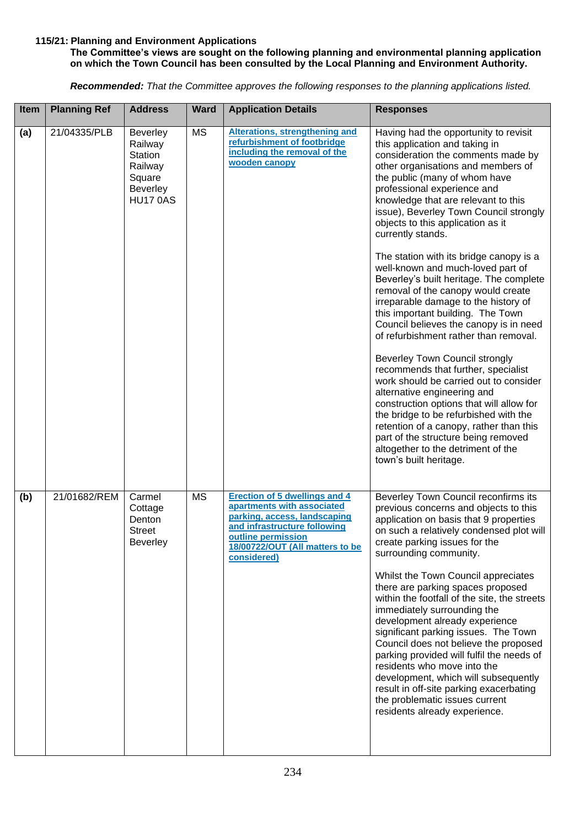#### **115/21: Planning and Environment Applications**

#### **The Committee's views are sought on the following planning and environmental planning application on which the Town Council has been consulted by the Local Planning and Environment Authority.**

*Recommended: That the Committee approves the following responses to the planning applications listed.*

| Item | <b>Planning Ref</b> | <b>Address</b>                                                                                          | <b>Ward</b> | <b>Application Details</b>                                                                                                                                                                                 | <b>Responses</b>                                                                                                                                                                                                                                                                                                                                                                                                                                                                                                                                                                                                                                                                                                                                                                                                                                                                                                                                                                                                                                                                         |
|------|---------------------|---------------------------------------------------------------------------------------------------------|-------------|------------------------------------------------------------------------------------------------------------------------------------------------------------------------------------------------------------|------------------------------------------------------------------------------------------------------------------------------------------------------------------------------------------------------------------------------------------------------------------------------------------------------------------------------------------------------------------------------------------------------------------------------------------------------------------------------------------------------------------------------------------------------------------------------------------------------------------------------------------------------------------------------------------------------------------------------------------------------------------------------------------------------------------------------------------------------------------------------------------------------------------------------------------------------------------------------------------------------------------------------------------------------------------------------------------|
| (a)  | 21/04335/PLB        | <b>Beverley</b><br>Railway<br><b>Station</b><br>Railway<br>Square<br><b>Beverley</b><br><b>HU17 0AS</b> | <b>MS</b>   | <b>Alterations, strengthening and</b><br>refurbishment of footbridge<br>including the removal of the<br>wooden canopy                                                                                      | Having had the opportunity to revisit<br>this application and taking in<br>consideration the comments made by<br>other organisations and members of<br>the public (many of whom have<br>professional experience and<br>knowledge that are relevant to this<br>issue), Beverley Town Council strongly<br>objects to this application as it<br>currently stands.<br>The station with its bridge canopy is a<br>well-known and much-loved part of<br>Beverley's built heritage. The complete<br>removal of the canopy would create<br>irreparable damage to the history of<br>this important building. The Town<br>Council believes the canopy is in need<br>of refurbishment rather than removal.<br>Beverley Town Council strongly<br>recommends that further, specialist<br>work should be carried out to consider<br>alternative engineering and<br>construction options that will allow for<br>the bridge to be refurbished with the<br>retention of a canopy, rather than this<br>part of the structure being removed<br>altogether to the detriment of the<br>town's built heritage. |
| (b)  | 21/01682/REM        | Carmel<br>Cottage<br>Denton<br><b>Street</b><br><b>Beverley</b>                                         | <b>MS</b>   | <b>Erection of 5 dwellings and 4</b><br>apartments with associated<br>parking, access, landscaping<br>and infrastructure following<br>outline permission<br>18/00722/OUT (All matters to be<br>considered) | Beverley Town Council reconfirms its<br>previous concerns and objects to this<br>application on basis that 9 properties<br>on such a relatively condensed plot will<br>create parking issues for the<br>surrounding community.<br>Whilst the Town Council appreciates<br>there are parking spaces proposed<br>within the footfall of the site, the streets<br>immediately surrounding the<br>development already experience<br>significant parking issues. The Town<br>Council does not believe the proposed<br>parking provided will fulfil the needs of<br>residents who move into the<br>development, which will subsequently<br>result in off-site parking exacerbating<br>the problematic issues current<br>residents already experience.                                                                                                                                                                                                                                                                                                                                           |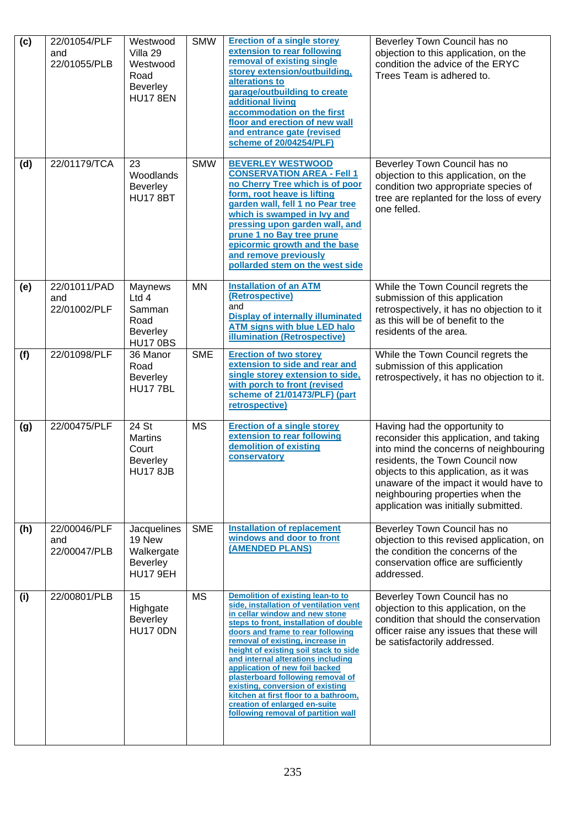| (c) | 22/01054/PLF<br>and<br>22/01055/PLB | Westwood<br>Villa 29<br>Westwood<br>Road<br><b>Beverley</b><br><b>HU17 8EN</b> | <b>SMW</b> | <b>Erection of a single storey</b><br>extension to rear following<br>removal of existing single<br>storey extension/outbuilding,<br>alterations to<br>garage/outbuilding to create<br>additional living<br>accommodation on the first<br>floor and erection of new wall<br>and entrance gate (revised<br>scheme of 20/04254/PLF)                                                                                                                                                                                                            | Beverley Town Council has no<br>objection to this application, on the<br>condition the advice of the ERYC<br>Trees Team is adhered to.                                                                                                                                                                                |
|-----|-------------------------------------|--------------------------------------------------------------------------------|------------|---------------------------------------------------------------------------------------------------------------------------------------------------------------------------------------------------------------------------------------------------------------------------------------------------------------------------------------------------------------------------------------------------------------------------------------------------------------------------------------------------------------------------------------------|-----------------------------------------------------------------------------------------------------------------------------------------------------------------------------------------------------------------------------------------------------------------------------------------------------------------------|
| (d) | 22/01179/TCA                        | 23<br>Woodlands<br><b>Beverley</b><br><b>HU17 8BT</b>                          | <b>SMW</b> | <b>BEVERLEY WESTWOOD</b><br><b>CONSERVATION AREA - Fell 1</b><br>no Cherry Tree which is of poor<br>form, root heave is lifting<br>garden wall, fell 1 no Pear tree<br>which is swamped in lvy and<br>pressing upon garden wall, and<br>prune 1 no Bay tree prune<br>epicormic growth and the base<br>and remove previously<br>pollarded stem on the west side                                                                                                                                                                              | Beverley Town Council has no<br>objection to this application, on the<br>condition two appropriate species of<br>tree are replanted for the loss of every<br>one felled.                                                                                                                                              |
| (e) | 22/01011/PAD<br>and<br>22/01002/PLF | Maynews<br>Ltd 4<br>Samman<br>Road<br><b>Beverley</b><br><b>HU17 0BS</b>       | <b>MN</b>  | <b>Installation of an ATM</b><br>(Retrospective)<br>and<br><b>Display of internally illuminated</b><br><b>ATM signs with blue LED halo</b><br><b>illumination (Retrospective)</b>                                                                                                                                                                                                                                                                                                                                                           | While the Town Council regrets the<br>submission of this application<br>retrospectively, it has no objection to it<br>as this will be of benefit to the<br>residents of the area.                                                                                                                                     |
| (f) | 22/01098/PLF                        | 36 Manor<br>Road<br><b>Beverley</b><br><b>HU17 7BL</b>                         | <b>SME</b> | <b>Erection of two storey</b><br>extension to side and rear and<br>single storey extension to side,<br>with porch to front (revised<br>scheme of 21/01473/PLF) (part<br>retrospective)                                                                                                                                                                                                                                                                                                                                                      | While the Town Council regrets the<br>submission of this application<br>retrospectively, it has no objection to it.                                                                                                                                                                                                   |
| (g) | 22/00475/PLF                        | 24 St<br><b>Martins</b><br>Court<br><b>Beverley</b><br><b>HU17 8JB</b>         | <b>MS</b>  | <b>Erection of a single storey</b><br>extension to rear following<br>demolition of existing<br>conservatory                                                                                                                                                                                                                                                                                                                                                                                                                                 | Having had the opportunity to<br>reconsider this application, and taking<br>into mind the concerns of neighbouring<br>residents, the Town Council now<br>objects to this application, as it was<br>unaware of the impact it would have to<br>neighbouring properties when the<br>application was initially submitted. |
| (h) | 22/00046/PLF<br>and<br>22/00047/PLB | Jacquelines<br>19 New<br>Walkergate<br><b>Beverley</b><br>HU17 9EH             | <b>SME</b> | <b>Installation of replacement</b><br>windows and door to front<br>(AMENDED PLANS)                                                                                                                                                                                                                                                                                                                                                                                                                                                          | Beverley Town Council has no<br>objection to this revised application, on<br>the condition the concerns of the<br>conservation office are sufficiently<br>addressed.                                                                                                                                                  |
| (i) | 22/00801/PLB                        | 15<br>Highgate<br><b>Beverley</b><br>HU17 0DN                                  | <b>MS</b>  | Demolition of existing lean-to to<br>side, installation of ventilation vent<br>in cellar window and new stone<br>steps to front, installation of double<br>doors and frame to rear following<br>removal of existing, increase in<br>height of existing soil stack to side<br>and internal alterations including<br>application of new foil backed<br>plasterboard following removal of<br>existing, conversion of existing<br>kitchen at first floor to a bathroom,<br>creation of enlarged en-suite<br>following removal of partition wall | Beverley Town Council has no<br>objection to this application, on the<br>condition that should the conservation<br>officer raise any issues that these will<br>be satisfactorily addressed.                                                                                                                           |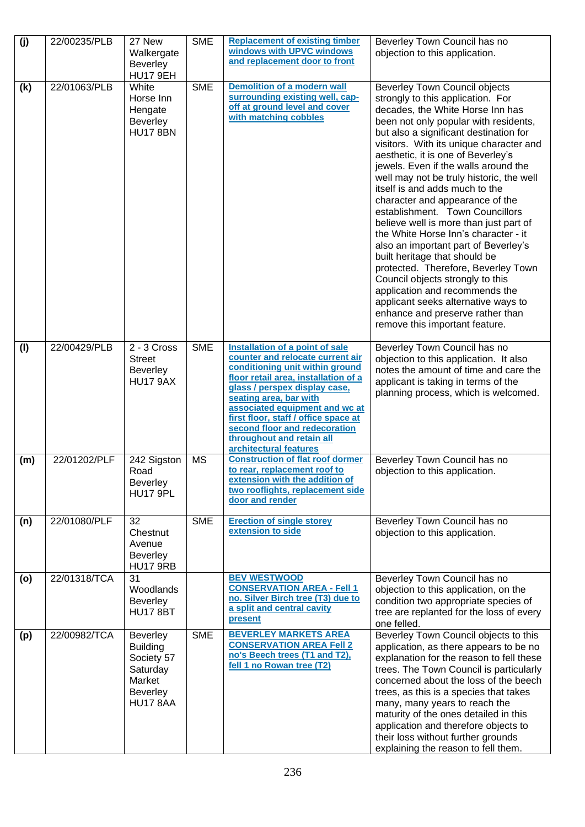| (j) | 22/00235/PLB | 27 New<br>Walkergate                                                                                  | <b>SME</b> | <b>Replacement of existing timber</b><br>windows with UPVC windows                                                                                                                                                                                                                                                                                                          | Beverley Town Council has no<br>objection to this application.                                                                                                                                                                                                                                                                                                                                                                                                                                                                                                                                                                                                                                                                                                                                                                                                     |
|-----|--------------|-------------------------------------------------------------------------------------------------------|------------|-----------------------------------------------------------------------------------------------------------------------------------------------------------------------------------------------------------------------------------------------------------------------------------------------------------------------------------------------------------------------------|--------------------------------------------------------------------------------------------------------------------------------------------------------------------------------------------------------------------------------------------------------------------------------------------------------------------------------------------------------------------------------------------------------------------------------------------------------------------------------------------------------------------------------------------------------------------------------------------------------------------------------------------------------------------------------------------------------------------------------------------------------------------------------------------------------------------------------------------------------------------|
|     |              | <b>Beverley</b><br><b>HU17 9EH</b>                                                                    |            | and replacement door to front                                                                                                                                                                                                                                                                                                                                               |                                                                                                                                                                                                                                                                                                                                                                                                                                                                                                                                                                                                                                                                                                                                                                                                                                                                    |
| (k) | 22/01063/PLB | White<br>Horse Inn<br>Hengate<br><b>Beverley</b><br><b>HU17 8BN</b>                                   | <b>SME</b> | <b>Demolition of a modern wall</b><br>surrounding existing well, cap-<br>off at ground level and cover<br>with matching cobbles                                                                                                                                                                                                                                             | <b>Beverley Town Council objects</b><br>strongly to this application. For<br>decades, the White Horse Inn has<br>been not only popular with residents,<br>but also a significant destination for<br>visitors. With its unique character and<br>aesthetic, it is one of Beverley's<br>jewels. Even if the walls around the<br>well may not be truly historic, the well<br>itself is and adds much to the<br>character and appearance of the<br>establishment. Town Councillors<br>believe well is more than just part of<br>the White Horse Inn's character - it<br>also an important part of Beverley's<br>built heritage that should be<br>protected. Therefore, Beverley Town<br>Council objects strongly to this<br>application and recommends the<br>applicant seeks alternative ways to<br>enhance and preserve rather than<br>remove this important feature. |
| (1) | 22/00429/PLB | 2 - 3 Cross<br><b>Street</b><br>Beverley<br><b>HU17 9AX</b>                                           | <b>SME</b> | Installation of a point of sale<br>counter and relocate current air<br>conditioning unit within ground<br>floor retail area, installation of a<br>glass / perspex display case,<br>seating area, bar with<br>associated equipment and wc at<br>first floor, staff / office space at<br>second floor and redecoration<br>throughout and retain all<br>architectural features | Beverley Town Council has no<br>objection to this application. It also<br>notes the amount of time and care the<br>applicant is taking in terms of the<br>planning process, which is welcomed.                                                                                                                                                                                                                                                                                                                                                                                                                                                                                                                                                                                                                                                                     |
| (m) | 22/01202/PLF | 242 Sigston<br>Road<br><b>Beverley</b><br>HU17 9PL                                                    | <b>MS</b>  | <b>Construction of flat roof dormer</b><br>to rear, replacement roof to<br>extension with the addition of<br>two rooflights, replacement side<br>door and render                                                                                                                                                                                                            | Beverley Town Council has no<br>objection to this application.                                                                                                                                                                                                                                                                                                                                                                                                                                                                                                                                                                                                                                                                                                                                                                                                     |
| (n) | 22/01080/PLF | 32<br>Chestnut<br>Avenue<br>Beverley<br><b>HU17 9RB</b>                                               | <b>SME</b> | <b>Erection of single storey</b><br>extension to side                                                                                                                                                                                                                                                                                                                       | Beverley Town Council has no<br>objection to this application.                                                                                                                                                                                                                                                                                                                                                                                                                                                                                                                                                                                                                                                                                                                                                                                                     |
| (o) | 22/01318/TCA | 31<br>Woodlands<br><b>Beverley</b><br><b>HU17 8BT</b>                                                 |            | <b>BEV WESTWOOD</b><br><b>CONSERVATION AREA - Fell 1</b><br>no. Silver Birch tree (T3) due to<br>a split and central cavity<br>present                                                                                                                                                                                                                                      | Beverley Town Council has no<br>objection to this application, on the<br>condition two appropriate species of<br>tree are replanted for the loss of every<br>one felled.                                                                                                                                                                                                                                                                                                                                                                                                                                                                                                                                                                                                                                                                                           |
| (p) | 22/00982/TCA | <b>Beverley</b><br><b>Building</b><br>Society 57<br>Saturday<br>Market<br><b>Beverley</b><br>HU17 8AA | <b>SME</b> | <b>BEVERLEY MARKETS AREA</b><br><b>CONSERVATION AREA Fell 2</b><br>no's Beech trees (T1 and T2).<br>fell 1 no Rowan tree (T2)                                                                                                                                                                                                                                               | Beverley Town Council objects to this<br>application, as there appears to be no<br>explanation for the reason to fell these<br>trees. The Town Council is particularly<br>concerned about the loss of the beech<br>trees, as this is a species that takes<br>many, many years to reach the<br>maturity of the ones detailed in this<br>application and therefore objects to<br>their loss without further grounds<br>explaining the reason to fell them.                                                                                                                                                                                                                                                                                                                                                                                                           |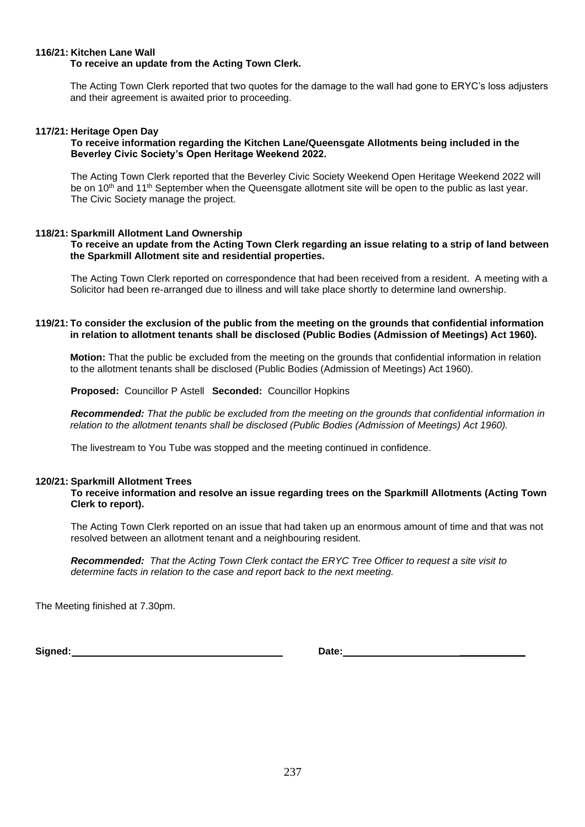## **116/21: Kitchen Lane Wall**

#### **To receive an update from the Acting Town Clerk.**

The Acting Town Clerk reported that two quotes for the damage to the wall had gone to ERYC's loss adjusters and their agreement is awaited prior to proceeding.

#### **117/21: Heritage Open Day**

#### **To receive information regarding the Kitchen Lane/Queensgate Allotments being included in the Beverley Civic Society's Open Heritage Weekend 2022.**

The Acting Town Clerk reported that the Beverley Civic Society Weekend Open Heritage Weekend 2022 will be on 10<sup>th</sup> and 11<sup>th</sup> September when the Queensgate allotment site will be open to the public as last year. The Civic Society manage the project.

#### **118/21: Sparkmill Allotment Land Ownership**

#### **To receive an update from the Acting Town Clerk regarding an issue relating to a strip of land between the Sparkmill Allotment site and residential properties.**

The Acting Town Clerk reported on correspondence that had been received from a resident. A meeting with a Solicitor had been re-arranged due to illness and will take place shortly to determine land ownership.

#### **119/21: To consider the exclusion of the public from the meeting on the grounds that confidential information in relation to allotment tenants shall be disclosed (Public Bodies (Admission of Meetings) Act 1960).**

**Motion:** That the public be excluded from the meeting on the grounds that confidential information in relation to the allotment tenants shall be disclosed (Public Bodies (Admission of Meetings) Act 1960).

**Proposed:** Councillor P Astell **Seconded:** Councillor Hopkins

*Recommended: That the public be excluded from the meeting on the grounds that confidential information in relation to the allotment tenants shall be disclosed (Public Bodies (Admission of Meetings) Act 1960).*

The livestream to You Tube was stopped and the meeting continued in confidence.

#### **120/21: Sparkmill Allotment Trees**

**To receive information and resolve an issue regarding trees on the Sparkmill Allotments (Acting Town Clerk to report).**

The Acting Town Clerk reported on an issue that had taken up an enormous amount of time and that was not resolved between an allotment tenant and a neighbouring resident.

*Recommended: That the Acting Town Clerk contact the ERYC Tree Officer to request a site visit to determine facts in relation to the case and report back to the next meeting.*

The Meeting finished at 7.30pm.

**Signed: Date: \_\_\_\_\_\_\_\_\_\_\_\_**